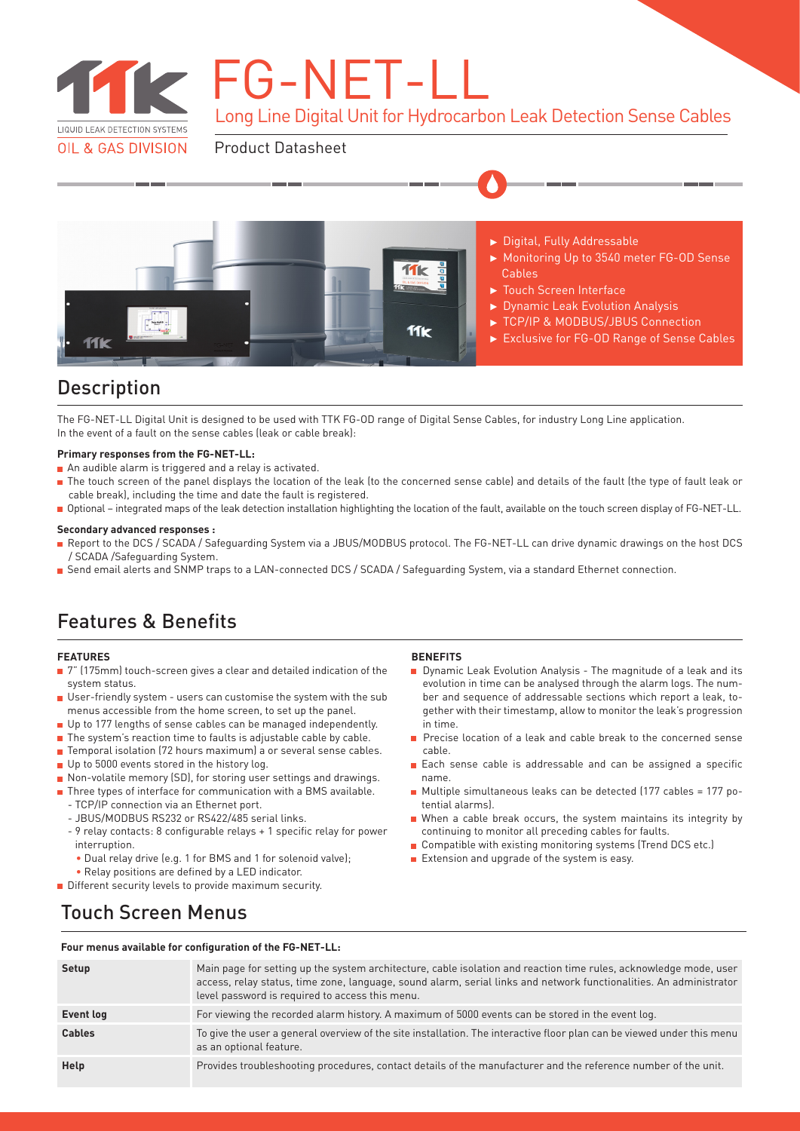

**K** FG-NET-L

Long Line Digital Unit for Hydrocarbon Leak Detection Sense Cables

Product Datasheet



## Description

The FG-NET-LL Digital Unit is designed to be used with TTK FG-OD range of Digital Sense Cables, for industry Long Line application. In the event of a fault on the sense cables (leak or cable break):

### **Primary responses from the FG-NET-LL:**

- An audible alarm is triggered and a relay is activated.
- The touch screen of the panel displays the location of the leak (to the concerned sense cable) and details of the fault (the type of fault leak or cable break), including the time and date the fault is registered.
- Optional integrated maps of the leak detection installation highlighting the location of the fault, available on the touch screen display of FG-NET-LL.

### **Secondary advanced responses :**

- Report to the DCS / SCADA / Safeguarding System via a JBUS/MODBUS protocol. The FG-NET-LL can drive dynamic drawings on the host DCS  $\blacksquare$ / SCADA /Safeguarding System.
- Send email alerts and SNMP traps to a LAN-connected DCS / SCADA / Safeguarding System, via a standard Ethernet connection.

# Features & Benefits

### **FEATURES**

- 7" (175mm) touch-screen gives a clear and detailed indication of the system status.
- User-friendly system users can customise the system with the sub menus accessible from the home screen, to set up the panel.
- Up to 177 lengths of sense cables can be managed independently.
- The system's reaction time to faults is adjustable cable by cable.
- Temporal isolation (72 hours maximum) a or several sense cables.
- Up to 5000 events stored in the history log.
- Non-volatile memory (SD), for storing user settings and drawings.
- Three types of interface for communication with a BMS available.
	- TCP/IP connection via an Ethernet port.
	- JBUS/MODBUS RS232 or RS422/485 serial links.
	- 9 relay contacts: 8 configurable relays + 1 specific relay for power interruption.
	- Dual relay drive (e.g. 1 for BMS and 1 for solenoid valve);
- Relay positions are defined by a LED indicator.
- Different security levels to provide maximum security.

### **BENEFITS**

- Dynamic Leak Evolution Analysis The magnitude of a leak and its evolution in time can be analysed through the alarm logs. The number and sequence of addressable sections which report a leak, together with their timestamp, allow to monitor the leak's progression in time.
- Precise location of a leak and cable break to the concerned sense cable.
- Each sense cable is addressable and can be assigned a specific name.
- Multiple simultaneous leaks can be detected (177 cables = 177 potential alarms).
- When a cable break occurs, the system maintains its integrity by continuing to monitor all preceding cables for faults.
- Compatible with existing monitoring systems (Trend DCS etc.)
- $\blacksquare$  Extension and upgrade of the system is easy.

## Touch Screen Menus

#### **Four menus available for configuration of the FG-NET-LL:**

| Setup         | Main page for setting up the system architecture, cable isolation and reaction time rules, acknowledge mode, user<br>access, relay status, time zone, language, sound alarm, serial links and network functionalities. An administrator<br>level password is required to access this menu. |
|---------------|--------------------------------------------------------------------------------------------------------------------------------------------------------------------------------------------------------------------------------------------------------------------------------------------|
| Event log     | For viewing the recorded alarm history. A maximum of 5000 events can be stored in the event log.                                                                                                                                                                                           |
| <b>Cables</b> | To give the user a general overview of the site installation. The interactive floor plan can be viewed under this menu<br>as an optional feature.                                                                                                                                          |
| Help          | Provides troubleshooting procedures, contact details of the manufacturer and the reference number of the unit.                                                                                                                                                                             |